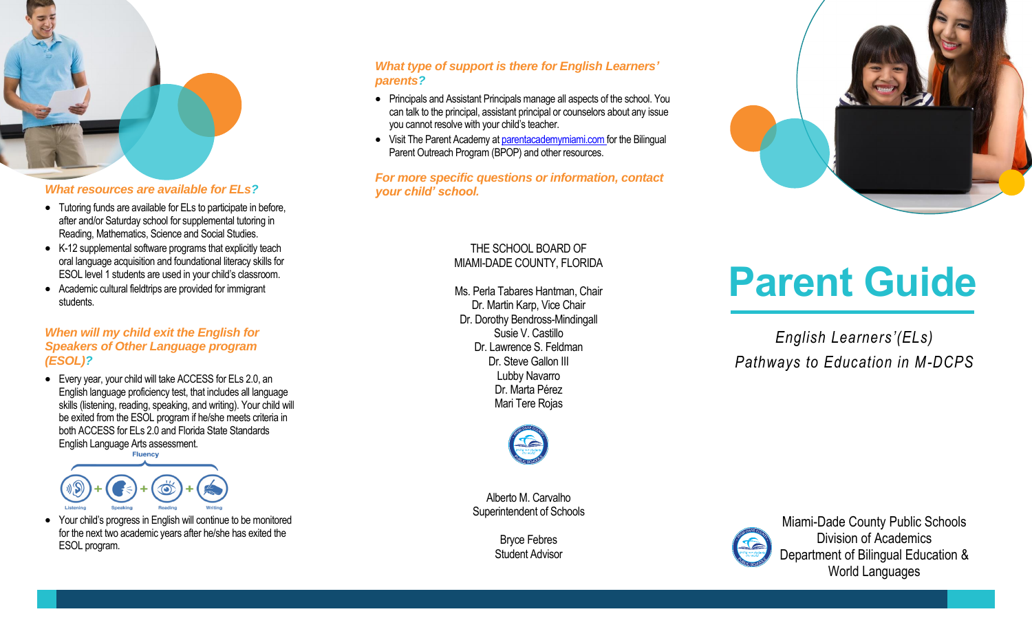

## *What resources are available for ELs?*

- Tutoring funds are available for ELs to participate in before, after and/or Saturday school for supplemental tutoring in Reading, Mathematics, Science and Social Studies.
- K-12 supplemental software programs that explicitly teach oral language acquisition and foundational literacy skills for ESOL level 1 students are used in your child's classroom.
- Academic cultural fieldtrips are provided for immigrant students.

#### *When will my child exit the English for Speakers of Other Language program (ESOL)?*

 Every year, your child will take ACCESS for ELs 2.0, an English language proficiency test, that includes all language skills (listening, reading, speaking, and writing). Your child will be exited from the ESOL program if he/she meets criteria in both ACCESS for ELs 2.0 and Florida State Standards English Language Arts assessment.



• Your child's progress in English will continue to be monitored for the next two academic years after he/she has exited the ESOL program.

## *What type of support is there for English Learners' parents?*

- Principals and Assistant Principals manage all aspects of the school. You can talk to the principal, assistant principal or counselors about any issue you cannot resolve with your child's teacher.
- Visit The Parent Academy a[t parentacademymiami.com](http://www.parentacademymiami.com/) for the Bilingual Parent Outreach Program (BPOP) and other resources.

#### *For more specific questions or information, contact your child' school.*

## THE SCHOOL BOARD OF MIAMI-DADE COUNTY, FLORIDA

Ms. Perla Tabares Hantman, Chair Dr. Martin Karp, Vice Chair Dr. Dorothy Bendross-Mindingall Susie V. Castillo Dr. Lawrence S. Feldman Dr. Steve Gallon III Lubby Navarro Dr. Marta Pérez Mari Tere Rojas



Alberto M. Carvalho Superintendent of Schools

> Bryce Febres Student Advisor



# **Parent Guide**

*English Learners'(ELs) Pathways to Education in M-DCPS*



Miami-Dade County Public Schools Division of Academics Department of Bilingual Education & World Languages